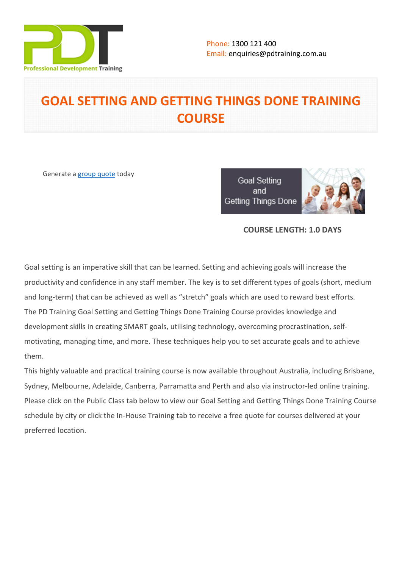

# **GOAL SETTING AND GETTING THINGS DONE TRAINING COURSE**

Generate a [group quote](https://pdtraining.com.au/inhouse-training-quote?cse=PDT9065CTM) today

**Goal Setting** and Getting Things Done



#### **COURSE LENGTH: 1.0 DAYS**

Goal setting is an imperative skill that can be learned. Setting and achieving goals will increase the productivity and confidence in any staff member. The key is to set different types of goals (short, medium and long-term) that can be achieved as well as "stretch" goals which are used to reward best efforts. The PD Training Goal Setting and Getting Things Done Training Course provides knowledge and development skills in creating SMART goals, utilising technology, overcoming procrastination, selfmotivating, managing time, and more. These techniques help you to set accurate goals and to achieve them.

This highly valuable and practical training course is now available throughout Australia, including Brisbane, Sydney, Melbourne, Adelaide, Canberra, Parramatta and Perth and also via instructor-led online training. Please click on the Public Class tab below to view our Goal Setting and Getting Things Done Training Course schedule by city or click the In-House Training tab to receive a free quote for courses delivered at your preferred location.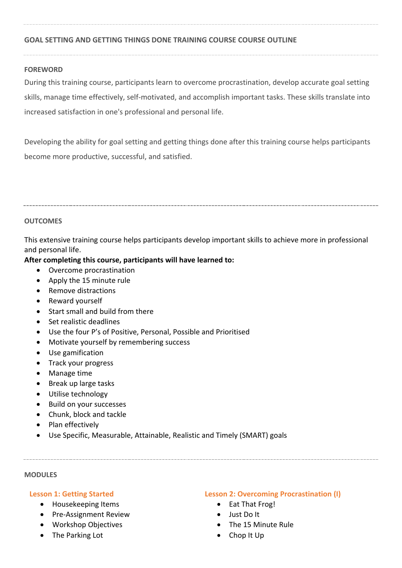#### **GOAL SETTING AND GETTING THINGS DONE TRAINING COURSE COURSE OUTLINE**

#### **FOREWORD**

During this training course, participants learn to overcome procrastination, develop accurate goal setting skills, manage time effectively, self-motivated, and accomplish important tasks. These skills translate into increased satisfaction in one's professional and personal life.

Developing the ability for goal setting and getting things done after this training course helps participants become more productive, successful, and satisfied.

#### **OUTCOMES**

This extensive training course helps participants develop important skills to achieve more in professional and personal life.

#### **After completing this course, participants will have learned to:**

- Overcome procrastination
- Apply the 15 minute rule
- Remove distractions
- Reward yourself
- Start small and build from there
- Set realistic deadlines
- Use the four P's of Positive, Personal, Possible and Prioritised
- Motivate yourself by remembering success
- Use gamification
- Track your progress
- Manage time
- Break up large tasks
- Utilise technology
- Build on your successes
- Chunk, block and tackle
- Plan effectively
- Use Specific, Measurable, Attainable, Realistic and Timely (SMART) goals

#### **MODULES**

#### **Lesson 1: Getting Started**

- Housekeeping Items
- Pre-Assignment Review
- Workshop Objectives
- The Parking Lot

#### **Lesson 2: Overcoming Procrastination (I)**

- Eat That Frog!
- Just Do It
- The 15 Minute Rule
- Chop It Up